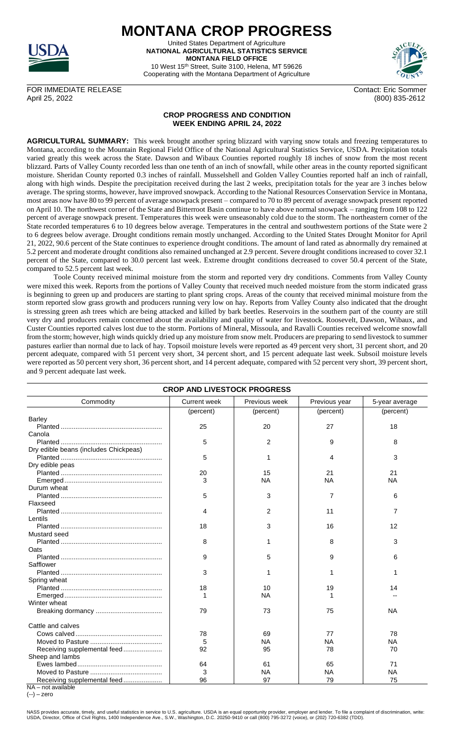

**MONTANA CROP PROGRESS** United States Department of Agriculture **NATIONAL AGRICULTURAL STATISTICS SERVICE MONTANA FIELD OFFICE** 10 West 15th Street, Suite 3100, Helena, MT 59626

Cooperating with the Montana Department of Agriculture



FOR IMMEDIATE RELEASE Contact: Eric Sommer April 25, 2022 (800) 835-2612

## **CROP PROGRESS AND CONDITION WEEK ENDING APRIL 24, 2022**

**AGRICULTURAL SUMMARY:** This week brought another spring blizzard with varying snow totals and freezing temperatures to Montana, according to the Mountain Regional Field Office of the National Agricultural Statistics Service, USDA. Precipitation totals varied greatly this week across the State. Dawson and Wibaux Counties reported roughly 18 inches of snow from the most recent blizzard. Parts of Valley County recorded less than one tenth of an inch of snowfall, while other areas in the county reported significant moisture. Sheridan County reported 0.3 inches of rainfall. Musselshell and Golden Valley Counties reported half an inch of rainfall, along with high winds. Despite the precipitation received during the last 2 weeks, precipitation totals for the year are 3 inches below average. The spring storms, however, have improved snowpack. According to the National Resources Conservation Service in Montana, most areas now have 80 to 99 percent of average snowpack present – compared to 70 to 89 percent of average snowpack present reported on April 10. The northwest corner of the State and Bitterroot Basin continue to have above normal snowpack – ranging from 108 to 122 percent of average snowpack present. Temperatures this week were unseasonably cold due to the storm. The northeastern corner of the State recorded temperatures 6 to 10 degrees below average. Temperatures in the central and southwestern portions of the State were 2 to 6 degrees below average. Drought conditions remain mostly unchanged. According to the United States Drought Monitor for April 21, 2022, 90.6 percent of the State continues to experience drought conditions. The amount of land rated as abnormally dry remained at 5.2 percent and moderate drought conditions also remained unchanged at 2.9 percent. Severe drought conditions increased to cover 32.1 percent of the State, compared to 30.0 percent last week. Extreme drought conditions decreased to cover 50.4 percent of the State, compared to 52.5 percent last week.

Toole County received minimal moisture from the storm and reported very dry conditions. Comments from Valley County were mixed this week. Reports from the portions of Valley County that received much needed moisture from the storm indicated grass is beginning to green up and producers are starting to plant spring crops. Areas of the county that received minimal moisture from the storm reported slow grass growth and producers running very low on hay. Reports from Valley County also indicated that the drought is stressing green ash trees which are being attacked and killed by bark beetles. Reservoirs in the southern part of the county are still very dry and producers remain concerned about the availability and quality of water for livestock. Roosevelt, Dawson, Wibaux, and Custer Counties reported calves lost due to the storm. Portions of Mineral, Missoula, and Ravalli Counties received welcome snowfall from the storm; however, high winds quickly dried up any moisture from snow melt. Producers are preparing to send livestock to summer pastures earlier than normal due to lack of hay. Topsoil moisture levels were reported as 49 percent very short, 31 percent short, and 20 percent adequate, compared with 51 percent very short, 34 percent short, and 15 percent adequate last week. Subsoil moisture levels were reported as 50 percent very short, 36 percent short, and 14 percent adequate, compared with 52 percent very short, 39 percent short, and 9 percent adequate last week.

| <b>CROP AND LIVESTOCK PROGRESS</b>    |                     |               |               |                |  |  |  |
|---------------------------------------|---------------------|---------------|---------------|----------------|--|--|--|
| Commodity                             | <b>Current week</b> | Previous week | Previous year | 5-year average |  |  |  |
|                                       | (percent)           | (percent)     | (percent)     | (percent)      |  |  |  |
| <b>Barley</b>                         |                     |               |               |                |  |  |  |
|                                       | 25                  | 20            | 27            | 18             |  |  |  |
| Canola                                |                     |               |               |                |  |  |  |
|                                       | 5                   | 2             | 9             | 8              |  |  |  |
| Dry edible beans (includes Chickpeas) |                     |               |               |                |  |  |  |
|                                       | 5                   |               | 4             | 3              |  |  |  |
| Dry edible peas                       |                     |               |               |                |  |  |  |
|                                       | 20                  | 15            | 21            | 21             |  |  |  |
|                                       | 3                   | <b>NA</b>     | <b>NA</b>     | <b>NA</b>      |  |  |  |
| Durum wheat                           |                     |               |               |                |  |  |  |
|                                       | 5                   | 3             | 7             | 6              |  |  |  |
| Flaxseed                              |                     |               |               |                |  |  |  |
|                                       | 4                   | 2             | 11            | 7              |  |  |  |
| Lentils                               |                     |               |               |                |  |  |  |
|                                       | 18                  | 3             | 16            | 12             |  |  |  |
| Mustard seed                          |                     |               |               |                |  |  |  |
|                                       | 8                   |               | 8             | 3              |  |  |  |
| Oats                                  |                     |               |               |                |  |  |  |
|                                       | 9                   | 5             | 9             | 6              |  |  |  |
| Safflower                             |                     |               |               |                |  |  |  |
|                                       | 3                   |               | 1             |                |  |  |  |
| Spring wheat                          |                     |               |               |                |  |  |  |
|                                       | 18                  | 10            | 19            | 14             |  |  |  |
|                                       | 1                   | <b>NA</b>     | 1             |                |  |  |  |
| Winter wheat                          |                     |               |               |                |  |  |  |
|                                       | 79                  | 73            | 75            | <b>NA</b>      |  |  |  |
|                                       |                     |               |               |                |  |  |  |
| Cattle and calves                     |                     |               |               |                |  |  |  |
|                                       | 78                  | 69            | 77            | 78             |  |  |  |
|                                       | 5                   | <b>NA</b>     | <b>NA</b>     | <b>NA</b>      |  |  |  |
| Receiving supplemental feed           | 92                  | 95            | 78            | 70             |  |  |  |
| Sheep and lambs                       |                     |               |               |                |  |  |  |
|                                       | 64                  | 61            | 65            | 71             |  |  |  |
|                                       | 3                   | <b>NA</b>     | NA            | <b>NA</b>      |  |  |  |
| Receiving supplemental feed           | 96                  | 97            | 79            | 75             |  |  |  |
| NA – not available.                   |                     |               |               |                |  |  |  |

(--) – zero

NASS provides accurate, timely, and useful statistics in service to U.S. agriculture. USDA is an equal opportunity provider, employer and lender. To file a complaint of discrimination, write:<br>USDA, Director, Office of Civi